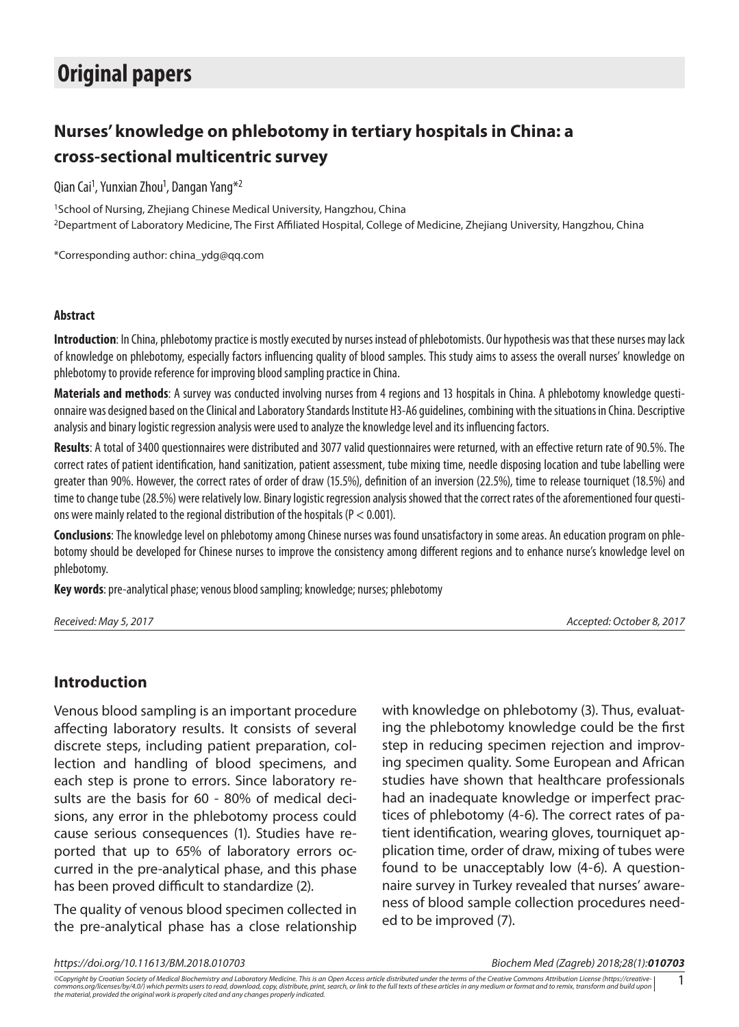# **Original papers**

## **Nurses' knowledge on phlebotomy in tertiary hospitals in China: a cross-sectional multicentric survey**

Qian Cai<sup>1</sup>, Yunxian Zhou<sup>1</sup>, Dangan Yang<sup>\*2</sup>

<sup>1</sup>School of Nursing, Zhejiang Chinese Medical University, Hangzhou, China 2Department of Laboratory Medicine, The First Affiliated Hospital, College of Medicine, Zhejiang University, Hangzhou, China

\*Corresponding author: china\_ydg@qq.com

#### **Abstract**

**Introduction**: In China, phlebotomy practice is mostly executed by nurses instead of phlebotomists. Our hypothesis was that these nurses may lack of knowledge on phlebotomy, especially factors influencing quality of blood samples. This study aims to assess the overall nurses' knowledge on phlebotomy to provide reference for improving blood sampling practice in China.

**Materials and methods**: A survey was conducted involving nurses from 4 regions and 13 hospitals in China. A phlebotomy knowledge questionnaire was designed based on the Clinical and Laboratory Standards Institute H3-A6 guidelines, combining with the situations in China. Descriptive analysis and binary logistic regression analysis were used to analyze the knowledge level and its influencing factors.

**Results**: A total of 3400 questionnaires were distributed and 3077 valid questionnaires were returned, with an effective return rate of 90.5%. The correct rates of patient identification, hand sanitization, patient assessment, tube mixing time, needle disposing location and tube labelling were greater than 90%. However, the correct rates of order of draw (15.5%), definition of an inversion (22.5%), time to release tourniquet (18.5%) and time to change tube (28.5%) were relatively low. Binary logistic regression analysis showed that the correct rates of the aforementioned four questions were mainly related to the regional distribution of the hospitals (P < 0.001).

**Conclusions**: The knowledge level on phlebotomy among Chinese nurses was found unsatisfactory in some areas. An education program on phlebotomy should be developed for Chinese nurses to improve the consistency among different regions and to enhance nurse's knowledge level on phlebotomy.

**Key words**: pre-analytical phase; venous blood sampling; knowledge; nurses; phlebotomy

*Received: May 5, 2017 Accepted: October 8, 2017*

## **Introduction**

Venous blood sampling is an important procedure affecting laboratory results. It consists of several discrete steps, including patient preparation, collection and handling of blood specimens, and each step is prone to errors. Since laboratory results are the basis for 60 - 80% of medical decisions, any error in the phlebotomy process could cause serious consequences (1). Studies have reported that up to 65% of laboratory errors occurred in the pre-analytical phase, and this phase has been proved difficult to standardize (2).

The quality of venous blood specimen collected in the pre-analytical phase has a close relationship

with knowledge on phlebotomy (3). Thus, evaluating the phlebotomy knowledge could be the first step in reducing specimen rejection and improving specimen quality. Some European and African studies have shown that healthcare professionals had an inadequate knowledge or imperfect practices of phlebotomy (4-6). The correct rates of patient identification, wearing gloves, tourniquet application time, order of draw, mixing of tubes were found to be unacceptably low (4-6). A questionnaire survey in Turkey revealed that nurses' awareness of blood sample collection procedures needed to be improved (7).

*https://doi.org/10.11613/BM.2018.010703 Biochem Med (Zagreb) 2018;28(1):010703*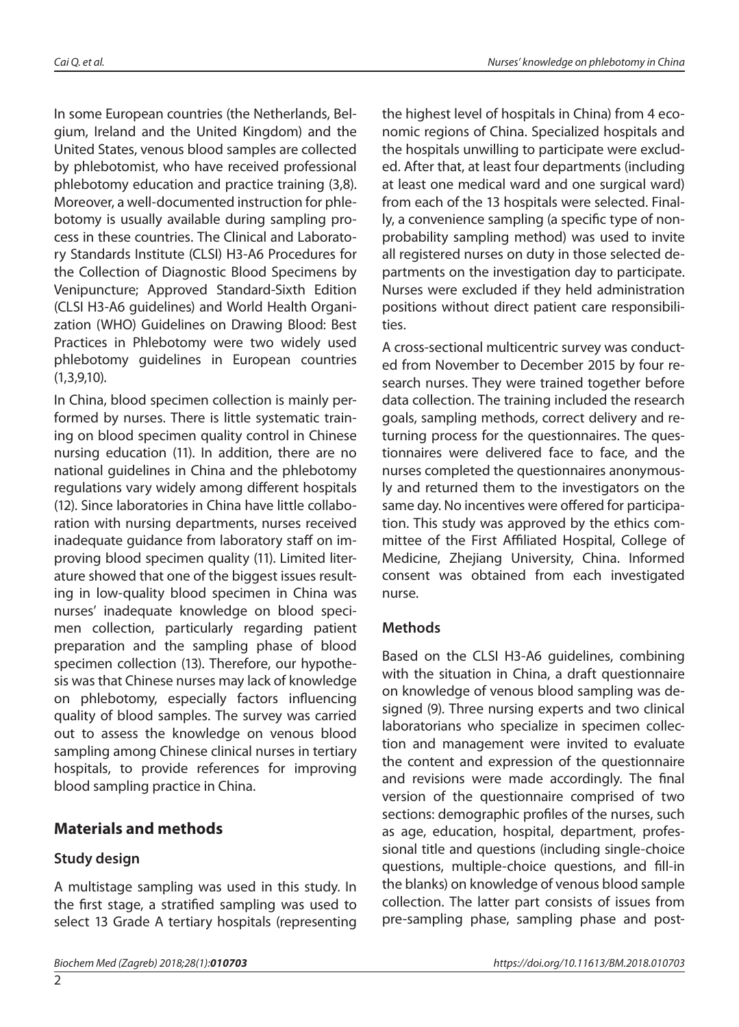In some European countries (the Netherlands, Belgium, Ireland and the United Kingdom) and the United States, venous blood samples are collected by phlebotomist, who have received professional phlebotomy education and practice training (3,8). Moreover, a well-documented instruction for phlebotomy is usually available during sampling process in these countries. The Clinical and Laboratory Standards Institute (CLSI) H3-A6 Procedures for the Collection of Diagnostic Blood Specimens by Venipuncture; Approved Standard-Sixth Edition (CLSI H3-A6 guidelines) and World Health Organization (WHO) Guidelines on Drawing Blood: Best Practices in Phlebotomy were two widely used phlebotomy guidelines in European countries (1,3,9,10).

In China, blood specimen collection is mainly performed by nurses. There is little systematic training on blood specimen quality control in Chinese nursing education (11). In addition, there are no national guidelines in China and the phlebotomy regulations vary widely among different hospitals (12). Since laboratories in China have little collaboration with nursing departments, nurses received inadequate guidance from laboratory staff on improving blood specimen quality (11). Limited literature showed that one of the biggest issues resulting in low-quality blood specimen in China was nurses' inadequate knowledge on blood specimen collection, particularly regarding patient preparation and the sampling phase of blood specimen collection (13). Therefore, our hypothesis was that Chinese nurses may lack of knowledge on phlebotomy, especially factors influencing quality of blood samples. The survey was carried out to assess the knowledge on venous blood sampling among Chinese clinical nurses in tertiary hospitals, to provide references for improving blood sampling practice in China.

## **Materials and methods**

## **Study design**

A multistage sampling was used in this study. In the first stage, a stratified sampling was used to select 13 Grade A tertiary hospitals (representing

the highest level of hospitals in China) from 4 economic regions of China. Specialized hospitals and the hospitals unwilling to participate were excluded. After that, at least four departments (including at least one medical ward and one surgical ward) from each of the 13 hospitals were selected. Finally, a convenience sampling (a specific type of nonprobability sampling method) was used to invite all registered nurses on duty in those selected departments on the investigation day to participate. Nurses were excluded if they held administration positions without direct patient care responsibilities.

A cross-sectional multicentric survey was conducted from November to December 2015 by four research nurses. They were trained together before data collection. The training included the research goals, sampling methods, correct delivery and returning process for the questionnaires. The questionnaires were delivered face to face, and the nurses completed the questionnaires anonymously and returned them to the investigators on the same day. No incentives were offered for participation. This study was approved by the ethics committee of the First Affiliated Hospital, College of Medicine, Zhejiang University, China. Informed consent was obtained from each investigated nurse.

## **Methods**

Based on the CLSI H3-A6 guidelines, combining with the situation in China, a draft questionnaire on knowledge of venous blood sampling was designed (9). Three nursing experts and two clinical laboratorians who specialize in specimen collection and management were invited to evaluate the content and expression of the questionnaire and revisions were made accordingly. The final version of the questionnaire comprised of two sections: demographic profiles of the nurses, such as age, education, hospital, department, professional title and questions (including single-choice questions, multiple-choice questions, and fill-in the blanks) on knowledge of venous blood sample collection. The latter part consists of issues from pre-sampling phase, sampling phase and post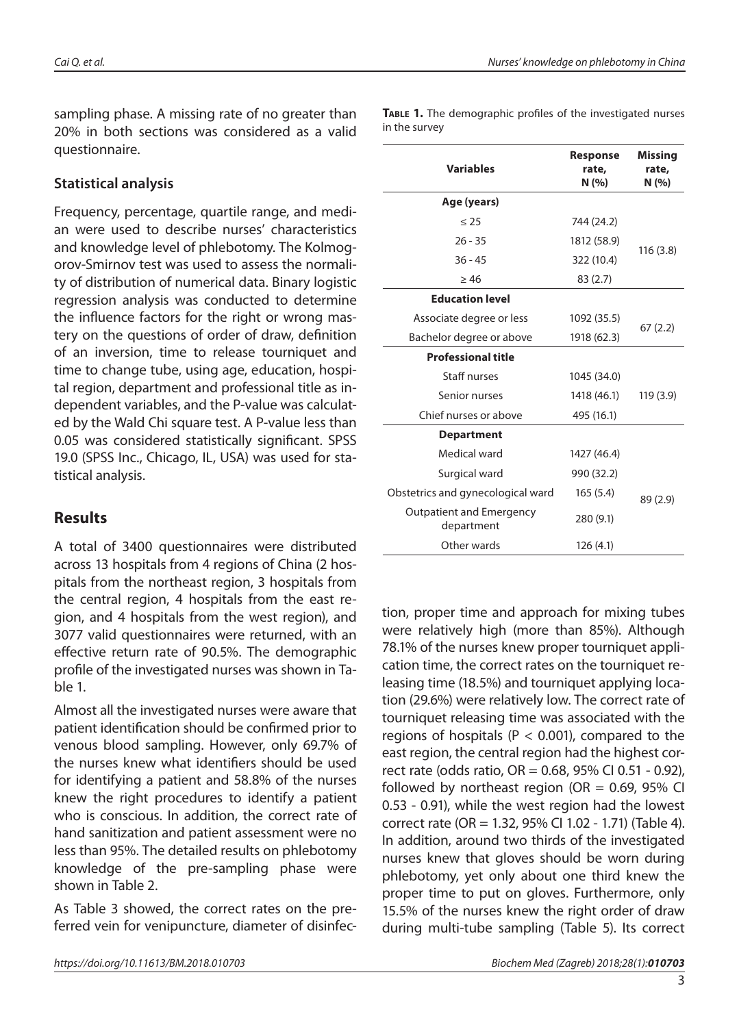sampling phase. A missing rate of no greater than 20% in both sections was considered as a valid questionnaire.

#### **Statistical analysis**

Frequency, percentage, quartile range, and median were used to describe nurses' characteristics and knowledge level of phlebotomy. The Kolmogorov-Smirnov test was used to assess the normality of distribution of numerical data. Binary logistic regression analysis was conducted to determine the influence factors for the right or wrong mastery on the questions of order of draw, definition of an inversion, time to release tourniquet and time to change tube, using age, education, hospital region, department and professional title as independent variables, and the P-value was calculated by the Wald Chi square test. A P-value less than 0.05 was considered statistically significant. SPSS 19.0 (SPSS Inc., Chicago, IL, USA) was used for statistical analysis.

## **Results**

A total of 3400 questionnaires were distributed across 13 hospitals from 4 regions of China (2 hospitals from the northeast region, 3 hospitals from the central region, 4 hospitals from the east region, and 4 hospitals from the west region), and 3077 valid questionnaires were returned, with an effective return rate of 90.5%. The demographic profile of the investigated nurses was shown in Table 1.

Almost all the investigated nurses were aware that patient identification should be confirmed prior to venous blood sampling. However, only 69.7% of the nurses knew what identifiers should be used for identifying a patient and 58.8% of the nurses knew the right procedures to identify a patient who is conscious. In addition, the correct rate of hand sanitization and patient assessment were no less than 95%. The detailed results on phlebotomy knowledge of the pre-sampling phase were shown in Table 2.

As Table 3 showed, the correct rates on the preferred vein for venipuncture, diameter of disinfec-

**TABLE 1.** The demographic profiles of the investigated nurses in the survey

| <b>Variables</b>                              | Response<br>rate,<br>N (%) |          |
|-----------------------------------------------|----------------------------|----------|
| Age (years)                                   |                            |          |
| $\leq$ 25                                     | 744 (24.2)                 |          |
| $26 - 35$                                     | 1812 (58.9)                |          |
| $36 - 45$                                     | 322 (10.4)                 | 116(3.8) |
| $\geq 46$                                     | 83(2.7)                    |          |
| <b>Education level</b>                        |                            |          |
| Associate degree or less                      | 1092 (35.5)                | 67(2.2)  |
| Bachelor degree or above                      | 1918 (62.3)                |          |
| <b>Professional title</b>                     |                            |          |
| Staff nurses                                  | 1045 (34.0)                |          |
| Senior nurses                                 | 1418 (46.1)                | 119(3.9) |
| Chief nurses or above                         | 495 (16.1)                 |          |
| <b>Department</b>                             |                            |          |
| Medical ward                                  | 1427 (46.4)                |          |
| Surgical ward                                 | 990 (32.2)                 |          |
| Obstetrics and gynecological ward             | 165(5.4)                   | 89 (2.9) |
| <b>Outpatient and Emergency</b><br>department | 280 (9.1)                  |          |
| Other wards                                   | 126(4.1)                   |          |

tion, proper time and approach for mixing tubes were relatively high (more than 85%). Although 78.1% of the nurses knew proper tourniquet application time, the correct rates on the tourniquet releasing time (18.5%) and tourniquet applying location (29.6%) were relatively low. The correct rate of tourniquet releasing time was associated with the regions of hospitals ( $P < 0.001$ ), compared to the east region, the central region had the highest correct rate (odds ratio, OR = 0.68, 95% CI 0.51 - 0.92), followed by northeast region (OR =  $0.69$ , 95% CI 0.53 - 0.91), while the west region had the lowest correct rate (OR = 1.32, 95% CI 1.02 - 1.71) (Table 4). In addition, around two thirds of the investigated nurses knew that gloves should be worn during phlebotomy, yet only about one third knew the proper time to put on gloves. Furthermore, only 15.5% of the nurses knew the right order of draw during multi-tube sampling (Table 5). Its correct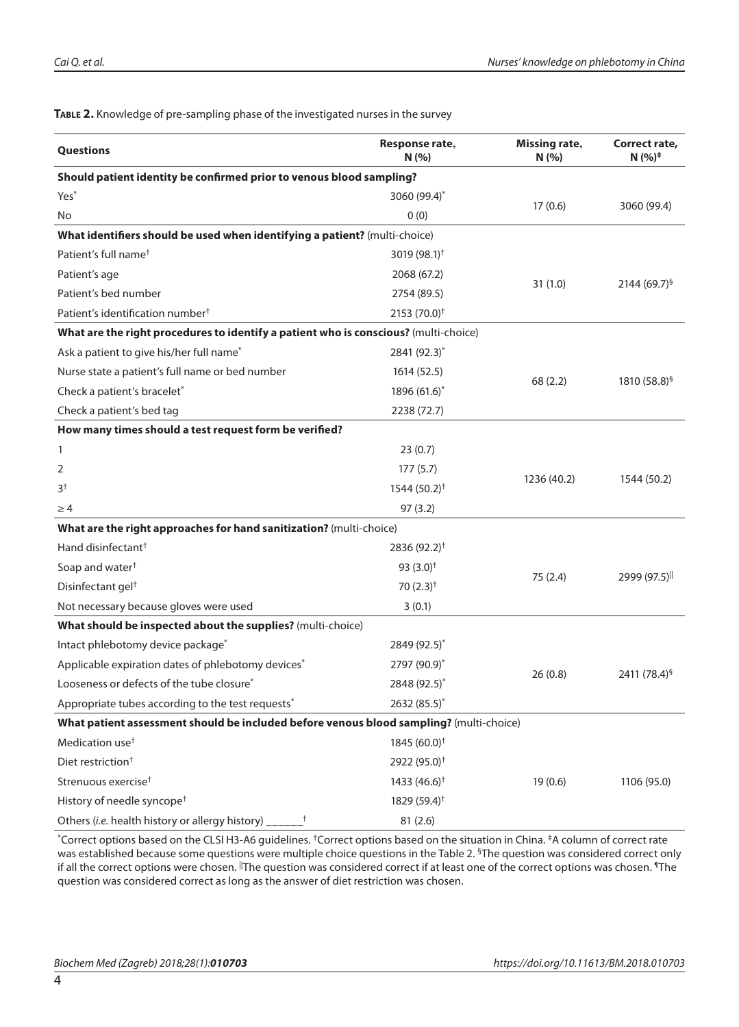| Questions                                                                               | Response rate,<br>N(%)                      | <b>Missing rate,</b><br>N(% | Correct rate,<br>$N(%)^*$ |  |
|-----------------------------------------------------------------------------------------|---------------------------------------------|-----------------------------|---------------------------|--|
| Should patient identity be confirmed prior to venous blood sampling?                    |                                             |                             |                           |  |
| Yes <sup>*</sup>                                                                        | 3060 $(99.4)^{*}$                           |                             | 3060 (99.4)               |  |
| No                                                                                      | 0(0)                                        | 17(0.6)                     |                           |  |
| What identifiers should be used when identifying a patient? (multi-choice)              |                                             |                             |                           |  |
| Patient's full name <sup>†</sup>                                                        | 3019 (98.1) <sup><math>\dagger</math></sup> |                             |                           |  |
| Patient's age                                                                           | 2068 (67.2)                                 |                             |                           |  |
| Patient's bed number                                                                    | 2754 (89.5)                                 | 31(1.0)                     | $2144(69.7)^{5}$          |  |
| Patient's identification number <sup>†</sup>                                            | 2153 $(70.0)^{\dagger}$                     |                             |                           |  |
| What are the right procedures to identify a patient who is conscious? (multi-choice)    |                                             |                             |                           |  |
| Ask a patient to give his/her full name*                                                | 2841 (92.3)*                                |                             |                           |  |
| Nurse state a patient's full name or bed number                                         | 1614 (52.5)                                 |                             | 1810 $(58.8)^{5}$         |  |
| Check a patient's bracelet*                                                             | 1896 (61.6)*                                | 68(2.2)                     |                           |  |
| Check a patient's bed tag                                                               | 2238 (72.7)                                 |                             |                           |  |
| How many times should a test request form be verified?                                  |                                             |                             |                           |  |
| 1                                                                                       | 23(0.7)                                     |                             | 1544 (50.2)               |  |
| 2                                                                                       | 177(5.7)                                    |                             |                           |  |
| 3 <sup>†</sup>                                                                          | $1544(50.2)^{+}$                            | 1236 (40.2)                 |                           |  |
| $\geq 4$                                                                                | 97 (3.2)                                    |                             |                           |  |
| What are the right approaches for hand sanitization? (multi-choice)                     |                                             |                             |                           |  |
| Hand disinfectant <sup>+</sup>                                                          | 2836 (92.2) <sup>†</sup>                    |                             |                           |  |
| Soap and water <sup>+</sup>                                                             | 93 $(3.0)^{+}$                              |                             |                           |  |
| Disinfectant gel <sup>+</sup>                                                           | $70(2.3)^{+}$                               | 75(2.4)                     | 2999 (97.5)               |  |
| Not necessary because gloves were used                                                  | 3(0.1)                                      |                             |                           |  |
| What should be inspected about the supplies? (multi-choice)                             |                                             |                             |                           |  |
| Intact phlebotomy device package*                                                       | 2849 (92.5)*                                |                             |                           |  |
| Applicable expiration dates of phlebotomy devices*                                      | 2797 (90.9)*                                |                             | 2411 (78.4) <sup>§</sup>  |  |
| Looseness or defects of the tube closure*                                               | 2848 (92.5)*                                | 26(0.8)                     |                           |  |
| Appropriate tubes according to the test requests <sup>*</sup>                           | 2632 (85.5)*                                |                             |                           |  |
| What patient assessment should be included before venous blood sampling? (multi-choice) |                                             |                             |                           |  |
| Medication use <sup>+</sup>                                                             | $1845(60.0)^+$                              |                             |                           |  |
| Diet restriction <sup>+</sup>                                                           | 2922 (95.0) <sup>+</sup>                    |                             |                           |  |
| Strenuous exercise <sup>†</sup>                                                         | 1433 $(46.6)^{+}$                           | 19(0.6)                     | 1106 (95.0)               |  |
| History of needle syncope <sup>+</sup>                                                  | 1829 (59.4) <sup>+</sup>                    |                             |                           |  |
| Others (i.e. health history or allergy history)<br>Ť                                    | 81 (2.6)                                    |                             |                           |  |

#### **Table 2.** Knowledge of pre-sampling phase of the investigated nurses in the survey

\*Correct options based on the CLSI H3-A6 guidelines. †Correct options based on the situation in China. ‡A column of correct rate was established because some questions were multiple choice questions in the Table 2. <sup>§</sup>The question was considered correct only if all the correct options were chosen. <sup>||</sup>The question was considered correct if at least one of the correct options was chosen. <sup>1</sup>The question was considered correct as long as the answer of diet restriction was chosen.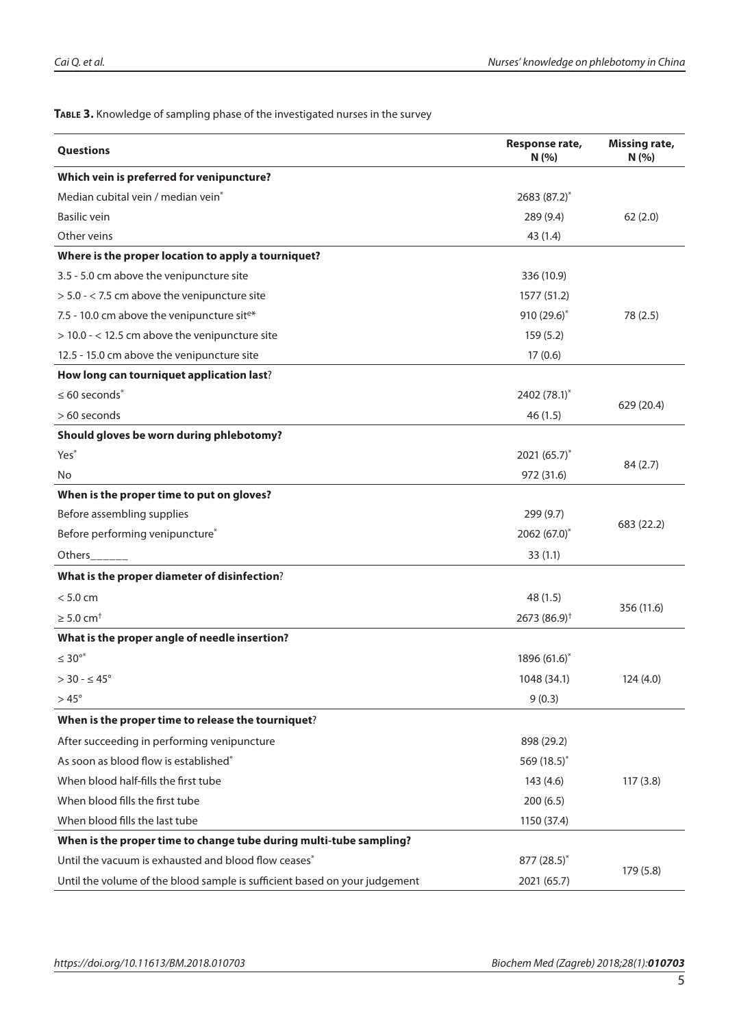**Table 3.** Knowledge of sampling phase of the investigated nurses in the survey

| Questions                                                                  | Response rate,<br>N(%)    | <b>Missing rate,</b><br>N(%) |
|----------------------------------------------------------------------------|---------------------------|------------------------------|
| Which vein is preferred for venipuncture?                                  |                           |                              |
| Median cubital vein / median vein <sup>*</sup>                             | 2683 (87.2)*              |                              |
| Basilic vein                                                               | 289 (9.4)                 | 62(2.0)                      |
| Other veins                                                                | 43 (1.4)                  |                              |
| Where is the proper location to apply a tourniquet?                        |                           |                              |
| 3.5 - 5.0 cm above the venipuncture site                                   | 336 (10.9)                |                              |
| > 5.0 - < 7.5 cm above the venipuncture site                               | 1577 (51.2)               |                              |
| 7.5 - 10.0 cm above the venipuncture site*                                 | 910 (29.6)*               | 78 (2.5)                     |
| > 10.0 - < 12.5 cm above the venipuncture site                             | 159(5.2)                  |                              |
| 12.5 - 15.0 cm above the venipuncture site                                 | 17(0.6)                   |                              |
| How long can tourniquet application last?                                  |                           |                              |
| $\leq 60$ seconds <sup>*</sup>                                             | 2402 (78.1)*              |                              |
| > 60 seconds                                                               | 46(1.5)                   | 629 (20.4)                   |
| Should gloves be worn during phlebotomy?                                   |                           |                              |
| Yes <sup>*</sup>                                                           | 2021 $(65.7)^{*}$         |                              |
| No                                                                         | 972 (31.6)                | 84(2.7)                      |
| When is the proper time to put on gloves?                                  |                           |                              |
| Before assembling supplies                                                 | 299 (9.7)                 |                              |
| Before performing venipuncture*                                            | 2062 (67.0)*              | 683 (22.2)                   |
| Others                                                                     | 33(1.1)                   |                              |
| What is the proper diameter of disinfection?                               |                           |                              |
| < 5.0 cm                                                                   | 48(1.5)                   |                              |
| $\geq 5.0$ cm <sup>+</sup>                                                 | $2673(86.9)$ <sup>†</sup> | 356 (11.6)                   |
| What is the proper angle of needle insertion?                              |                           |                              |
| $\leq 30^{\circ*}$                                                         | 1896 $(61.6)^*$           |                              |
| $>30$ - $\leq 45^\circ$                                                    | 1048 (34.1)               | 124(4.0)                     |
| $>45^{\circ}$                                                              | 9(0.3)                    |                              |
| When is the proper time to release the tourniquet?                         |                           |                              |
| After succeeding in performing venipuncture                                | 898 (29.2)                |                              |
| As soon as blood flow is established*                                      | 569 $(18.5)^{*}$          |                              |
| When blood half-fills the first tube                                       | 143(4.6)                  | 117(3.8)                     |
| When blood fills the first tube                                            | 200(6.5)                  |                              |
| When blood fills the last tube                                             | 1150 (37.4)               |                              |
| When is the proper time to change tube during multi-tube sampling?         |                           |                              |
| Until the vacuum is exhausted and blood flow ceases*                       | $877 (28.5)^*$            |                              |
| Until the volume of the blood sample is sufficient based on your judgement | 2021 (65.7)               | 179 (5.8)                    |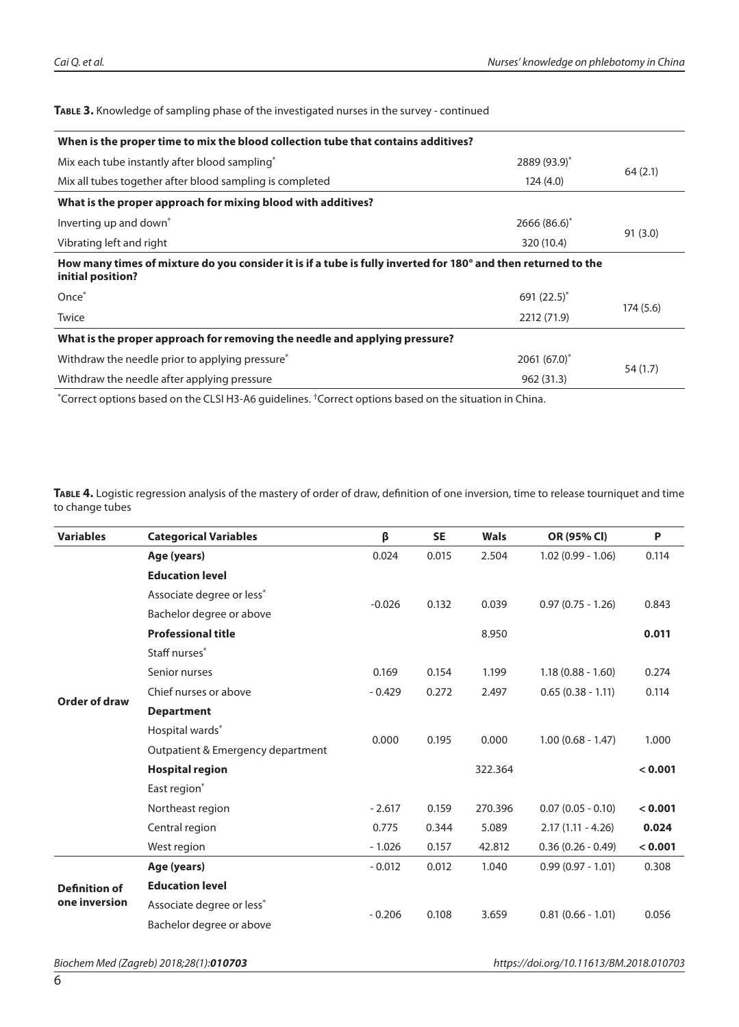**Table 3.** Knowledge of sampling phase of the investigated nurses in the survey - continued

| When is the proper time to mix the blood collection tube that contains additives?                                                  |                  |          |  |
|------------------------------------------------------------------------------------------------------------------------------------|------------------|----------|--|
| Mix each tube instantly after blood sampling*                                                                                      | $2889(93.9)^{*}$ |          |  |
| Mix all tubes together after blood sampling is completed                                                                           | 124(4.0)         | 64(2.1)  |  |
| What is the proper approach for mixing blood with additives?                                                                       |                  |          |  |
| Inverting up and down <sup>*</sup>                                                                                                 | $2666(86.6)^{*}$ |          |  |
| Vibrating left and right                                                                                                           | 320 (10.4)       | 91(3.0)  |  |
| How many times of mixture do you consider it is if a tube is fully inverted for 180° and then returned to the<br>initial position? |                  |          |  |
| Once <sup>*</sup>                                                                                                                  | 691 $(22.5)^*$   |          |  |
| Twice                                                                                                                              | 2212 (71.9)      | 174(5.6) |  |
| What is the proper approach for removing the needle and applying pressure?                                                         |                  |          |  |
| Withdraw the needle prior to applying pressure <sup>*</sup>                                                                        | $2061(67.0)^{*}$ |          |  |
| Withdraw the needle after applying pressure                                                                                        | 962 (31.3)       | 54 (1.7) |  |
|                                                                                                                                    |                  |          |  |

\*Correct options based on the CLSI H3-A6 guidelines. †Correct options based on the situation in China.

**Table 4.** Logistic regression analysis of the mastery of order of draw, definition of one inversion, time to release tourniquet and time to change tubes

| <b>Variables</b>                      | <b>Categorical Variables</b>      | β        | <b>SE</b> | <b>Wals</b> | OR (95% CI)         | P       |
|---------------------------------------|-----------------------------------|----------|-----------|-------------|---------------------|---------|
|                                       | Age (years)                       | 0.024    | 0.015     | 2.504       | $1.02(0.99 - 1.06)$ | 0.114   |
|                                       | <b>Education level</b>            |          |           |             |                     |         |
|                                       | Associate degree or less*         |          | 0.132     | 0.039       | $0.97(0.75 - 1.26)$ |         |
|                                       | Bachelor degree or above          | $-0.026$ |           |             |                     | 0.843   |
|                                       | <b>Professional title</b>         |          |           | 8.950       |                     | 0.011   |
|                                       | Staff nurses*                     |          |           |             |                     |         |
|                                       | Senior nurses                     | 0.169    | 0.154     | 1.199       | $1.18(0.88 - 1.60)$ | 0.274   |
| Order of draw                         | Chief nurses or above             | $-0.429$ | 0.272     | 2.497       | $0.65(0.38 - 1.11)$ | 0.114   |
|                                       | <b>Department</b>                 |          |           |             |                     |         |
|                                       | Hospital wards*                   |          | 0.195     |             |                     | 1.000   |
|                                       | Outpatient & Emergency department | 0.000    |           | 0.000       | $1.00(0.68 - 1.47)$ |         |
|                                       | <b>Hospital region</b>            |          |           | 322.364     |                     | < 0.001 |
|                                       | East region*                      |          |           |             |                     |         |
|                                       | Northeast region                  | $-2.617$ | 0.159     | 270.396     | $0.07(0.05 - 0.10)$ | < 0.001 |
|                                       | Central region                    | 0.775    | 0.344     | 5.089       | $2.17(1.11 - 4.26)$ | 0.024   |
|                                       | West region                       | $-1.026$ | 0.157     | 42.812      | $0.36(0.26 - 0.49)$ | < 0.001 |
| <b>Definition of</b><br>one inversion | Age (years)                       | $-0.012$ | 0.012     | 1.040       | $0.99(0.97 - 1.01)$ | 0.308   |
|                                       | <b>Education level</b>            |          |           |             |                     |         |
|                                       | Associate degree or less*         | $-0.206$ | 0.108     | 3.659       | $0.81(0.66 - 1.01)$ | 0.056   |
|                                       | Bachelor degree or above          |          |           |             |                     |         |
|                                       |                                   |          |           |             |                     |         |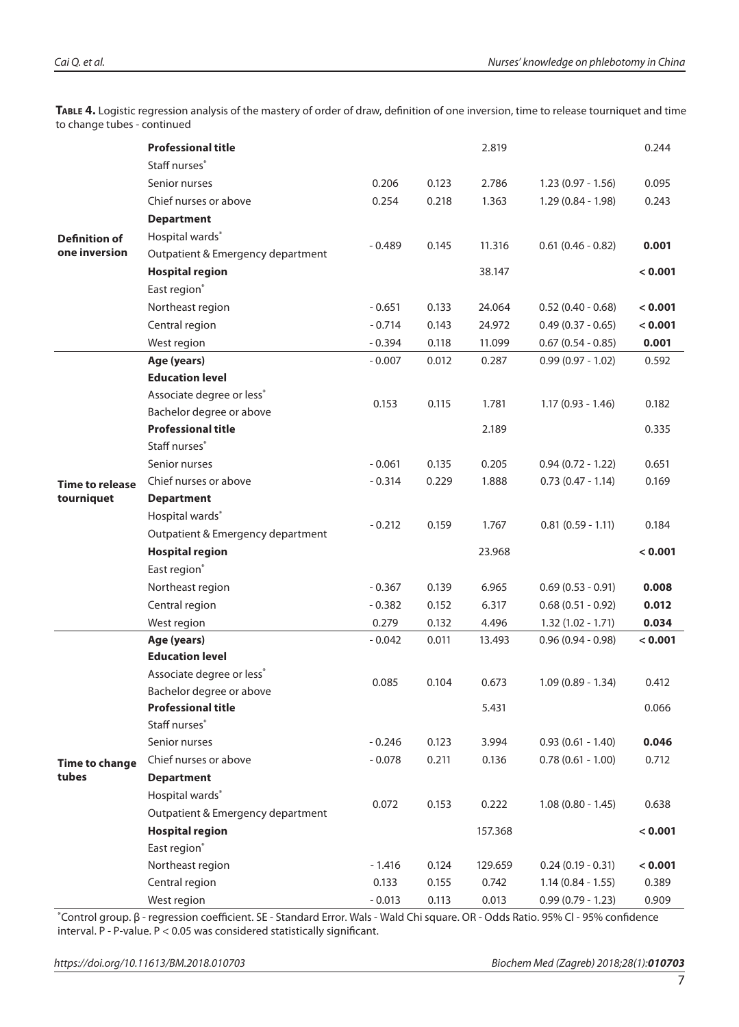**Table 4.** Logistic regression analysis of the mastery of order of draw, definition of one inversion, time to release tourniquet and time to change tubes - continued

|                                      | <b>Professional title</b>         |          |       | 2.819   |                        | 0.244   |  |  |
|--------------------------------------|-----------------------------------|----------|-------|---------|------------------------|---------|--|--|
|                                      | Staff nurses <sup>*</sup>         |          |       |         |                        |         |  |  |
|                                      | Senior nurses                     | 0.206    | 0.123 | 2.786   | $1.23(0.97 - 1.56)$    | 0.095   |  |  |
|                                      | Chief nurses or above             | 0.254    | 0.218 | 1.363   | $1.29(0.84 - 1.98)$    | 0.243   |  |  |
|                                      | <b>Department</b>                 |          |       |         |                        |         |  |  |
| <b>Definition of</b>                 | Hospital wards*                   |          |       |         |                        |         |  |  |
| one inversion                        | Outpatient & Emergency department | $-0.489$ | 0.145 | 11.316  | $0.61$ (0.46 - 0.82)   | 0.001   |  |  |
|                                      | <b>Hospital region</b>            |          |       | 38.147  |                        | < 0.001 |  |  |
|                                      | East region*                      |          |       |         |                        |         |  |  |
|                                      | Northeast region                  | $-0.651$ | 0.133 | 24.064  | $0.52(0.40 - 0.68)$    | < 0.001 |  |  |
|                                      | Central region                    | $-0.714$ | 0.143 | 24.972  | $0.49(0.37 - 0.65)$    | < 0.001 |  |  |
|                                      | West region                       | $-0.394$ | 0.118 | 11.099  | $0.67$ $(0.54 - 0.85)$ | 0.001   |  |  |
|                                      | Age (years)                       | $-0.007$ | 0.012 | 0.287   | $0.99(0.97 - 1.02)$    | 0.592   |  |  |
|                                      | <b>Education level</b>            |          |       |         |                        |         |  |  |
|                                      | Associate degree or less*         | 0.153    | 0.115 | 1.781   | $1.17(0.93 - 1.46)$    | 0.182   |  |  |
|                                      | Bachelor degree or above          |          |       |         |                        |         |  |  |
|                                      | <b>Professional title</b>         |          |       | 2.189   |                        | 0.335   |  |  |
|                                      | Staff nurses*                     |          |       |         |                        |         |  |  |
| <b>Time to release</b><br>tourniquet | Senior nurses                     | $-0.061$ | 0.135 | 0.205   | $0.94(0.72 - 1.22)$    | 0.651   |  |  |
|                                      | Chief nurses or above             | $-0.314$ | 0.229 | 1.888   | $0.73(0.47 - 1.14)$    | 0.169   |  |  |
|                                      | <b>Department</b>                 |          |       |         |                        |         |  |  |
|                                      | Hospital wards*                   | $-0.212$ | 0.159 | 1.767   | $0.81$ $(0.59 - 1.11)$ | 0.184   |  |  |
|                                      | Outpatient & Emergency department |          |       |         |                        |         |  |  |
|                                      | <b>Hospital region</b>            |          |       | 23.968  | < 0.001                |         |  |  |
|                                      | East region*                      |          |       |         |                        |         |  |  |
|                                      | Northeast region                  | $-0.367$ | 0.139 | 6.965   | $0.69(0.53 - 0.91)$    | 0.008   |  |  |
|                                      | Central region                    | $-0.382$ | 0.152 | 6.317   | $0.68$ (0.51 - 0.92)   | 0.012   |  |  |
|                                      | West region                       | 0.279    | 0.132 | 4.496   | $1.32(1.02 - 1.71)$    | 0.034   |  |  |
|                                      | Age (years)                       | $-0.042$ | 0.011 | 13.493  | $0.96(0.94 - 0.98)$    | < 0.001 |  |  |
|                                      | <b>Education level</b>            |          |       |         |                        |         |  |  |
|                                      | Associate degree or less*         | 0.085    | 0.104 | 0.673   | $1.09(0.89 - 1.34)$    | 0.412   |  |  |
|                                      | Bachelor degree or above          |          |       |         |                        |         |  |  |
|                                      | <b>Professional title</b>         |          |       | 5.431   |                        | 0.066   |  |  |
|                                      | Staff nurses*                     |          |       |         |                        |         |  |  |
|                                      | Senior nurses                     | $-0.246$ | 0.123 | 3.994   | $0.93(0.61 - 1.40)$    | 0.046   |  |  |
| <b>Time to change</b><br>tubes       | Chief nurses or above             | $-0.078$ | 0.211 | 0.136   | $0.78(0.61 - 1.00)$    | 0.712   |  |  |
|                                      | <b>Department</b>                 |          |       |         |                        |         |  |  |
|                                      | Hospital wards*                   | 0.072    | 0.153 | 0.222   | $1.08(0.80 - 1.45)$    | 0.638   |  |  |
|                                      | Outpatient & Emergency department |          |       |         |                        |         |  |  |
|                                      | <b>Hospital region</b>            |          |       | 157.368 |                        | < 0.001 |  |  |
|                                      | East region*                      |          |       |         |                        |         |  |  |
|                                      | Northeast region                  | $-1.416$ | 0.124 | 129.659 | $0.24(0.19 - 0.31)$    | < 0.001 |  |  |
|                                      | Central region                    | 0.133    | 0.155 | 0.742   | $1.14(0.84 - 1.55)$    | 0.389   |  |  |
|                                      | West region                       | $-0.013$ | 0.113 | 0.013   | $0.99(0.79 - 1.23)$    | 0.909   |  |  |

\*Control group. β - regression coefficient. SE - Standard Error. Wals - Wald Chi square. OR - Odds Ratio. 95% Cl - 95% confidence interval. P - P-value. P < 0.05 was considered statistically significant.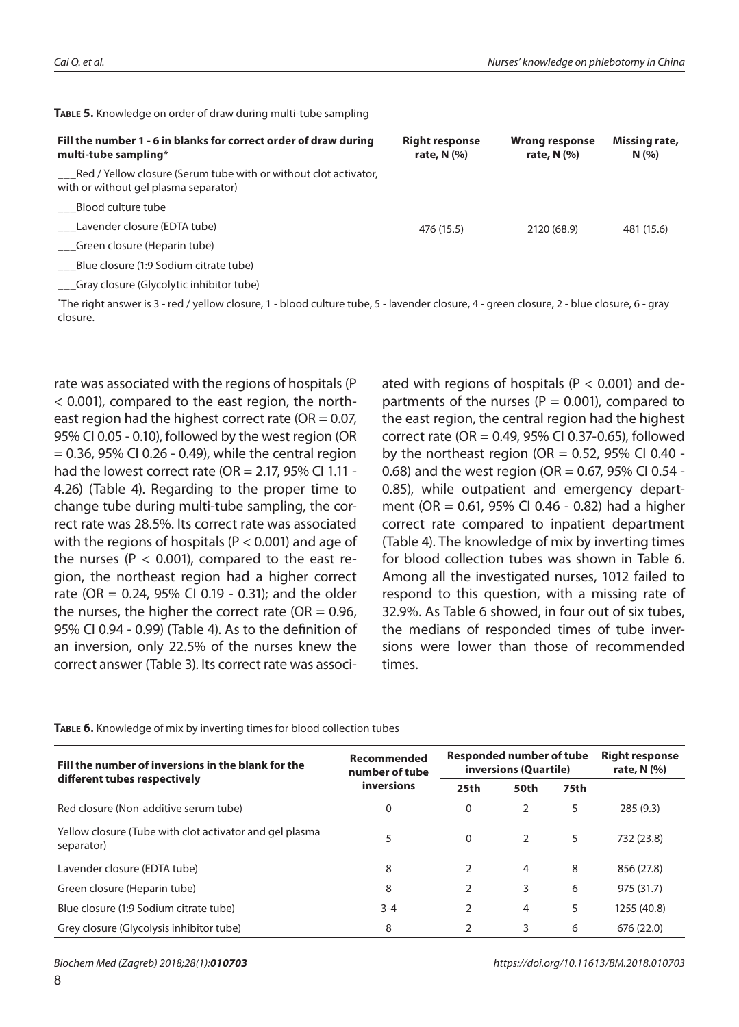| Fill the number 1 - 6 in blanks for correct order of draw during<br>multi-tube sampling*                     | <b>Right response</b><br>rate, $N$ $(\%)$ | <b>Wrong response</b><br>rate, $N$ $(\%)$ | Missing rate,<br>N(%) |
|--------------------------------------------------------------------------------------------------------------|-------------------------------------------|-------------------------------------------|-----------------------|
| ___Red / Yellow closure (Serum tube with or without clot activator,<br>with or without gel plasma separator) |                                           |                                           |                       |
| Blood culture tube                                                                                           |                                           |                                           |                       |
| Lavender closure (EDTA tube)                                                                                 | 476 (15.5)                                | 2120 (68.9)                               | 481 (15.6)            |
| Green closure (Heparin tube)                                                                                 |                                           |                                           |                       |
| Blue closure (1:9 Sodium citrate tube)                                                                       |                                           |                                           |                       |
| ___Gray closure (Glycolytic inhibitor tube)                                                                  |                                           |                                           |                       |

**Table 5.** Knowledge on order of draw during multi-tube sampling

\*The right answer is 3 - red / yellow closure, 1 - blood culture tube, 5 - lavender closure, 4 - green closure, 2 - blue closure, 6 - gray closure.

rate was associated with the regions of hospitals (P < 0.001), compared to the east region, the northeast region had the highest correct rate (OR  $= 0.07$ , 95% CI 0.05 - 0.10), followed by the west region (OR  $= 0.36$ , 95% CI 0.26 - 0.49), while the central region had the lowest correct rate (OR  $= 2.17$ , 95% CI 1.11 -4.26) (Table 4). Regarding to the proper time to change tube during multi-tube sampling, the correct rate was 28.5%. Its correct rate was associated with the regions of hospitals ( $P < 0.001$ ) and age of the nurses ( $P < 0.001$ ), compared to the east region, the northeast region had a higher correct rate (OR = 0.24, 95% CI 0.19 - 0.31); and the older the nurses, the higher the correct rate (OR  $= 0.96$ , 95% CI 0.94 - 0.99) (Table 4). As to the definition of an inversion, only 22.5% of the nurses knew the correct answer (Table 3). Its correct rate was associated with regions of hospitals ( $P < 0.001$ ) and departments of the nurses ( $P = 0.001$ ), compared to the east region, the central region had the highest correct rate (OR = 0.49, 95% CI 0.37-0.65), followed by the northeast region (OR =  $0.52$ , 95% CI 0.40 -0.68) and the west region (OR = 0.67, 95% CI 0.54 -0.85), while outpatient and emergency department (OR = 0.61, 95% CI 0.46 - 0.82) had a higher correct rate compared to inpatient department (Table 4). The knowledge of mix by inverting times for blood collection tubes was shown in Table 6. Among all the investigated nurses, 1012 failed to respond to this question, with a missing rate of 32.9%. As Table 6 showed, in four out of six tubes, the medians of responded times of tube inversions were lower than those of recommended times.

| Fill the number of inversions in the blank for the                    | Recommended<br>number of tube | Responded number of tube<br>inversions (Quartile) |      |      | <b>Right response</b><br>rate, $N$ $(\%)$ |
|-----------------------------------------------------------------------|-------------------------------|---------------------------------------------------|------|------|-------------------------------------------|
| different tubes respectively                                          | inversions                    | 25th                                              | 50th | 75th |                                           |
| Red closure (Non-additive serum tube)                                 | $\Omega$                      | 0                                                 | 2    | 5    | 285(9.3)                                  |
| Yellow closure (Tube with clot activator and gel plasma<br>separator) | 5                             | $\Omega$                                          | 2    | 5    | 732 (23.8)                                |
| Lavender closure (EDTA tube)                                          | 8                             |                                                   | 4    | 8    | 856 (27.8)                                |
| Green closure (Heparin tube)                                          | 8                             |                                                   | 3    | 6    | 975 (31.7)                                |
| Blue closure (1:9 Sodium citrate tube)                                | $3 - 4$                       | C                                                 | 4    | 5    | 1255 (40.8)                               |
| Grey closure (Glycolysis inhibitor tube)                              | 8                             |                                                   | 3    | 6    | 676 (22.0)                                |

**Table 6.** Knowledge of mix by inverting times for blood collection tubes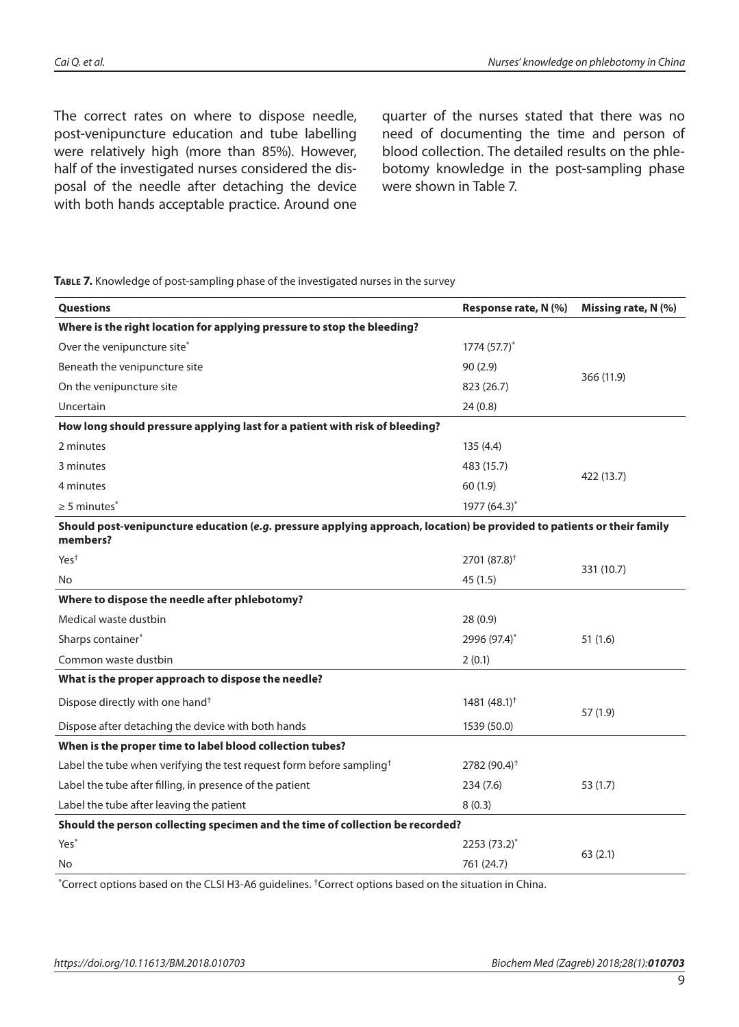The correct rates on where to dispose needle, post-venipuncture education and tube labelling were relatively high (more than 85%). However, half of the investigated nurses considered the disposal of the needle after detaching the device with both hands acceptable practice. Around one

quarter of the nurses stated that there was no need of documenting the time and person of blood collection. The detailed results on the phlebotomy knowledge in the post-sampling phase were shown in Table 7.

**Table 7.** Knowledge of post-sampling phase of the investigated nurses in the survey

| Questions                                                                                                                          | Response rate, N (%)     | Missing rate, N (%) |  |
|------------------------------------------------------------------------------------------------------------------------------------|--------------------------|---------------------|--|
| Where is the right location for applying pressure to stop the bleeding?                                                            |                          |                     |  |
| Over the venipuncture site*                                                                                                        | $1774(57.7)^{*}$         |                     |  |
| Beneath the venipuncture site                                                                                                      | 90(2.9)                  |                     |  |
| On the venipuncture site                                                                                                           | 823 (26.7)               | 366 (11.9)          |  |
| Uncertain                                                                                                                          | 24(0.8)                  |                     |  |
| How long should pressure applying last for a patient with risk of bleeding?                                                        |                          |                     |  |
| 2 minutes                                                                                                                          | 135 (4.4)                |                     |  |
| 3 minutes                                                                                                                          | 483 (15.7)               |                     |  |
| 4 minutes                                                                                                                          | 60 (1.9)                 | 422 (13.7)          |  |
| $\geq$ 5 minutes $^*$                                                                                                              | 1977 (64.3)*             |                     |  |
| Should post-venipuncture education (e.g. pressure applying approach, location) be provided to patients or their family<br>members? |                          |                     |  |
| Yes <sup>+</sup>                                                                                                                   | $2701 (87.8)^+$          |                     |  |
| No                                                                                                                                 | 45(1.5)                  | 331 (10.7)          |  |
| Where to dispose the needle after phlebotomy?                                                                                      |                          |                     |  |
| Medical waste dustbin                                                                                                              | 28(0.9)                  |                     |  |
| Sharps container*                                                                                                                  | 2996 (97.4)*             | 51(1.6)             |  |
| Common waste dustbin                                                                                                               | 2(0.1)                   |                     |  |
| What is the proper approach to dispose the needle?                                                                                 |                          |                     |  |
| Dispose directly with one hand <sup>†</sup>                                                                                        | 1481 $(48.1)^{+}$        | 57 (1.9)            |  |
| Dispose after detaching the device with both hands                                                                                 | 1539 (50.0)              |                     |  |
| When is the proper time to label blood collection tubes?                                                                           |                          |                     |  |
| Label the tube when verifying the test request form before sampling <sup>†</sup>                                                   | 2782 (90.4) <sup>†</sup> |                     |  |
| Label the tube after filling, in presence of the patient<br>234(7.6)                                                               |                          | 53(1.7)             |  |
| Label the tube after leaving the patient                                                                                           | 8(0.3)                   |                     |  |
| Should the person collecting specimen and the time of collection be recorded?                                                      |                          |                     |  |
| Yes <sup>*</sup>                                                                                                                   | $2253 (73.2)^{*}$        | 63(2.1)             |  |
| No                                                                                                                                 | 761 (24.7)               |                     |  |

\*Correct options based on the CLSI H3-A6 guidelines. †Correct options based on the situation in China.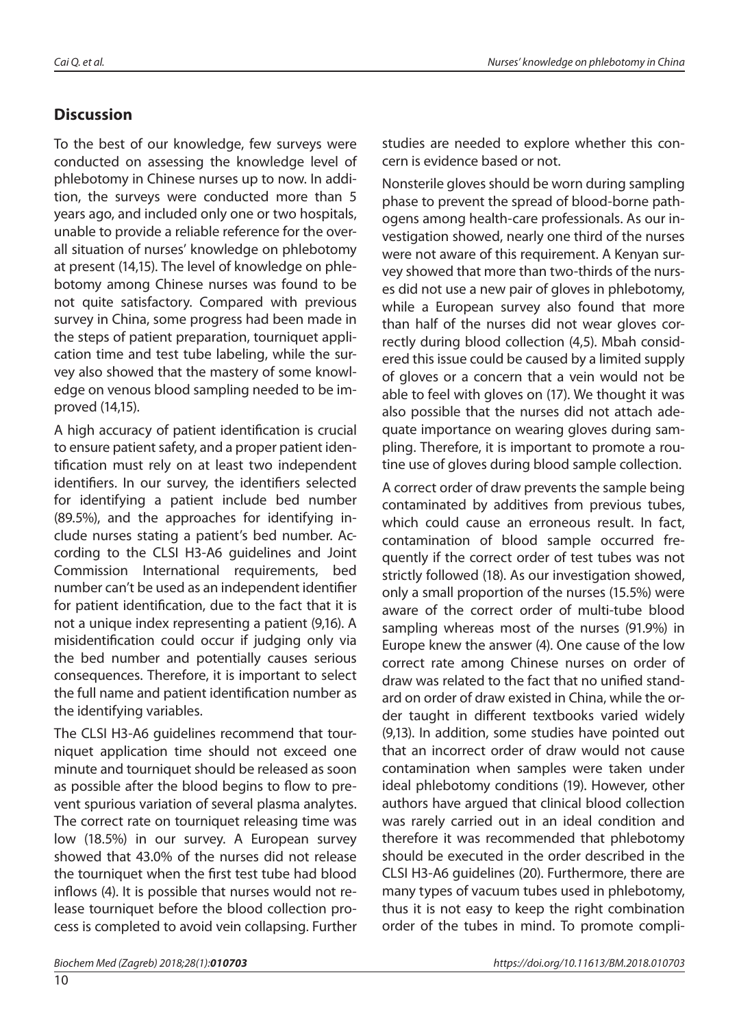#### *Cai Q. et al. Nurses' knowledge on phlebotomy in China*

## **Discussion**

To the best of our knowledge, few surveys were conducted on assessing the knowledge level of phlebotomy in Chinese nurses up to now. In addition, the surveys were conducted more than 5 years ago, and included only one or two hospitals, unable to provide a reliable reference for the overall situation of nurses' knowledge on phlebotomy at present (14,15). The level of knowledge on phlebotomy among Chinese nurses was found to be not quite satisfactory. Compared with previous survey in China, some progress had been made in the steps of patient preparation, tourniquet application time and test tube labeling, while the survey also showed that the mastery of some knowledge on venous blood sampling needed to be improved (14,15).

A high accuracy of patient identification is crucial to ensure patient safety, and a proper patient identification must rely on at least two independent identifiers. In our survey, the identifiers selected for identifying a patient include bed number (89.5%), and the approaches for identifying include nurses stating a patient's bed number. According to the CLSI H3-A6 guidelines and Joint Commission International requirements, bed number can't be used as an independent identifier for patient identification, due to the fact that it is not a unique index representing a patient (9,16). A misidentification could occur if judging only via the bed number and potentially causes serious consequences. Therefore, it is important to select the full name and patient identification number as the identifying variables.

The CLSI H3-A6 guidelines recommend that tourniquet application time should not exceed one minute and tourniquet should be released as soon as possible after the blood begins to flow to prevent spurious variation of several plasma analytes. The correct rate on tourniquet releasing time was low (18.5%) in our survey. A European survey showed that 43.0% of the nurses did not release the tourniquet when the first test tube had blood inflows (4). It is possible that nurses would not release tourniquet before the blood collection process is completed to avoid vein collapsing. Further

Nonsterile gloves should be worn during sampling phase to prevent the spread of blood-borne pathogens among health-care professionals. As our investigation showed, nearly one third of the nurses were not aware of this requirement. A Kenyan survey showed that more than two-thirds of the nurses did not use a new pair of gloves in phlebotomy, while a European survey also found that more than half of the nurses did not wear gloves correctly during blood collection (4,5). Mbah considered this issue could be caused by a limited supply of gloves or a concern that a vein would not be able to feel with gloves on (17). We thought it was also possible that the nurses did not attach adequate importance on wearing gloves during sampling. Therefore, it is important to promote a routine use of gloves during blood sample collection.

A correct order of draw prevents the sample being contaminated by additives from previous tubes, which could cause an erroneous result. In fact, contamination of blood sample occurred frequently if the correct order of test tubes was not strictly followed (18). As our investigation showed, only a small proportion of the nurses (15.5%) were aware of the correct order of multi-tube blood sampling whereas most of the nurses (91.9%) in Europe knew the answer (4). One cause of the low correct rate among Chinese nurses on order of draw was related to the fact that no unified standard on order of draw existed in China, while the order taught in different textbooks varied widely (9,13). In addition, some studies have pointed out that an incorrect order of draw would not cause contamination when samples were taken under ideal phlebotomy conditions (19). However, other authors have argued that clinical blood collection was rarely carried out in an ideal condition and therefore it was recommended that phlebotomy should be executed in the order described in the CLSI H3-A6 guidelines (20). Furthermore, there are many types of vacuum tubes used in phlebotomy, thus it is not easy to keep the right combination order of the tubes in mind. To promote compli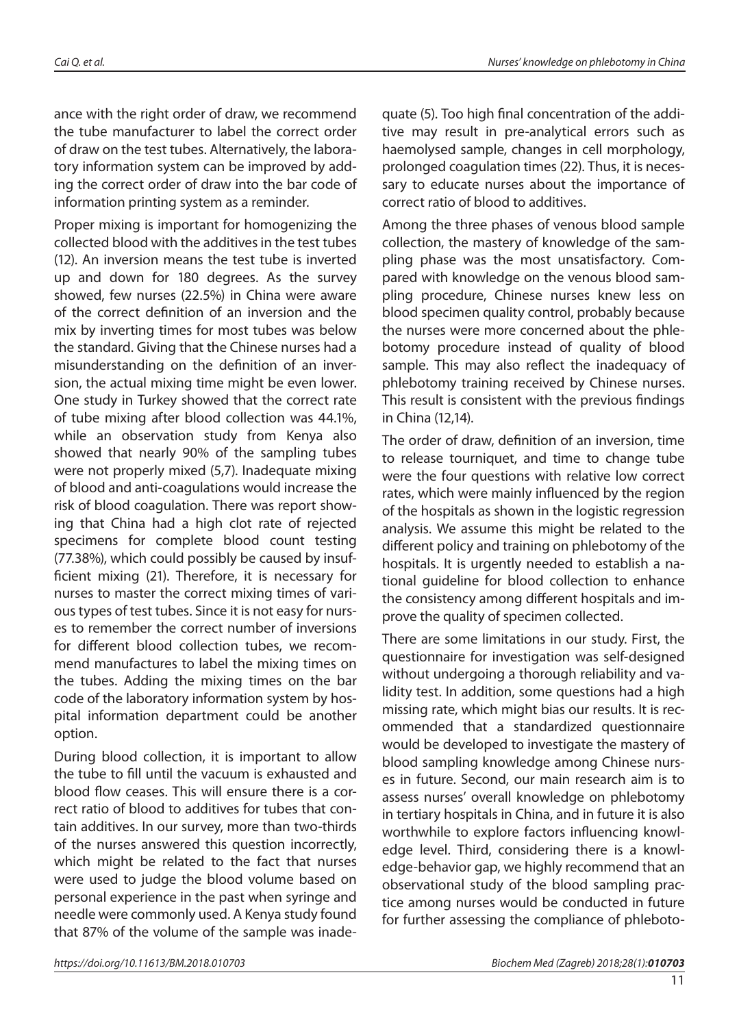ance with the right order of draw, we recommend the tube manufacturer to label the correct order of draw on the test tubes. Alternatively, the laboratory information system can be improved by adding the correct order of draw into the bar code of information printing system as a reminder.

Proper mixing is important for homogenizing the collected blood with the additives in the test tubes (12). An inversion means the test tube is inverted up and down for 180 degrees. As the survey showed, few nurses (22.5%) in China were aware of the correct definition of an inversion and the mix by inverting times for most tubes was below the standard. Giving that the Chinese nurses had a misunderstanding on the definition of an inversion, the actual mixing time might be even lower. One study in Turkey showed that the correct rate of tube mixing after blood collection was 44.1%, while an observation study from Kenya also showed that nearly 90% of the sampling tubes were not properly mixed (5,7). Inadequate mixing of blood and anti-coagulations would increase the risk of blood coagulation. There was report showing that China had a high clot rate of rejected specimens for complete blood count testing (77.38%), which could possibly be caused by insufficient mixing (21). Therefore, it is necessary for nurses to master the correct mixing times of various types of test tubes. Since it is not easy for nurses to remember the correct number of inversions for different blood collection tubes, we recommend manufactures to label the mixing times on the tubes. Adding the mixing times on the bar code of the laboratory information system by hospital information department could be another option.

During blood collection, it is important to allow the tube to fill until the vacuum is exhausted and blood flow ceases. This will ensure there is a correct ratio of blood to additives for tubes that contain additives. In our survey, more than two-thirds of the nurses answered this question incorrectly, which might be related to the fact that nurses were used to judge the blood volume based on personal experience in the past when syringe and needle were commonly used. A Kenya study found that 87% of the volume of the sample was inadequate (5). Too high final concentration of the additive may result in pre-analytical errors such as haemolysed sample, changes in cell morphology, prolonged coagulation times (22). Thus, it is necessary to educate nurses about the importance of correct ratio of blood to additives.

Among the three phases of venous blood sample collection, the mastery of knowledge of the sampling phase was the most unsatisfactory. Compared with knowledge on the venous blood sampling procedure, Chinese nurses knew less on blood specimen quality control, probably because the nurses were more concerned about the phlebotomy procedure instead of quality of blood sample. This may also reflect the inadequacy of phlebotomy training received by Chinese nurses. This result is consistent with the previous findings in China (12,14).

The order of draw, definition of an inversion, time to release tourniquet, and time to change tube were the four questions with relative low correct rates, which were mainly influenced by the region of the hospitals as shown in the logistic regression analysis. We assume this might be related to the different policy and training on phlebotomy of the hospitals. It is urgently needed to establish a national guideline for blood collection to enhance the consistency among different hospitals and improve the quality of specimen collected.

There are some limitations in our study. First, the questionnaire for investigation was self-designed without undergoing a thorough reliability and validity test. In addition, some questions had a high missing rate, which might bias our results. It is recommended that a standardized questionnaire would be developed to investigate the mastery of blood sampling knowledge among Chinese nurses in future. Second, our main research aim is to assess nurses' overall knowledge on phlebotomy in tertiary hospitals in China, and in future it is also worthwhile to explore factors influencing knowledge level. Third, considering there is a knowledge-behavior gap, we highly recommend that an observational study of the blood sampling practice among nurses would be conducted in future for further assessing the compliance of phleboto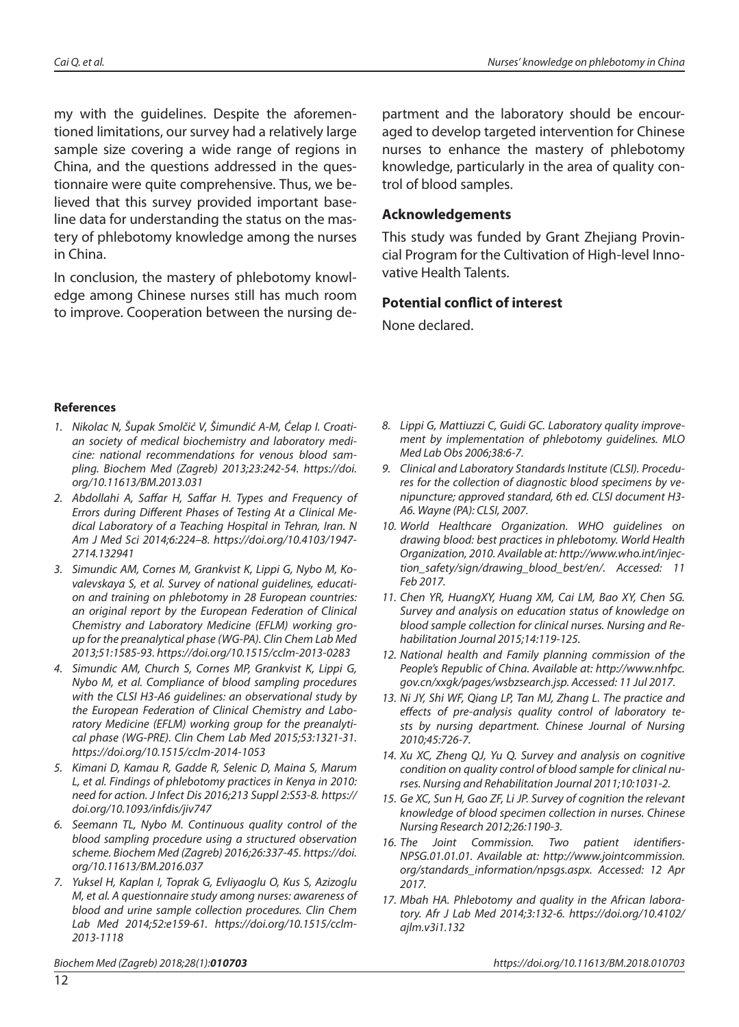my with the guidelines. Despite the aforementioned limitations, our survey had a relatively large sample size covering a wide range of regions in China, and the questions addressed in the questionnaire were quite comprehensive. Thus, we believed that this survey provided important baseline data for understanding the status on the mastery of phlebotomy knowledge among the nurses in China.

In conclusion, the mastery of phlebotomy knowledge among Chinese nurses still has much room to improve. Cooperation between the nursing department and the laboratory should be encouraged to develop targeted intervention for Chinese nurses to enhance the mastery of phlebotomy knowledge, particularly in the area of quality control of blood samples.

#### **Acknowledgements**

This study was funded by Grant Zhejiang Provincial Program for the Cultivation of High-level Innovative Health Talents.

#### **Potential conflict of interest**

None declared.

#### **References**

- *1. Nikolac N, Šupak Smolčić V, Šimundić A-M, Ćelap I. Croatian society of medical biochemistry and laboratory medicine: national recommendations for venous blood sampling. Biochem Med (Zagreb) 2013;23:242-54. https://doi. org/10.11613/BM.2013.031*
- *2. Abdollahi A, Saffar H, Saffar H. Types and Frequency of Errors during Different Phases of Testing At a Clinical Medical Laboratory of a Teaching Hospital in Tehran, Iran. N Am J Med Sci 2014;6:224–8. https://doi.org/10.4103/1947- 2714.132941*
- *3. Simundic AM, Cornes M, Grankvist K, Lippi G, Nybo M, Kovalevskaya S, et al. Survey of national guidelines, education and training on phlebotomy in 28 European countries: an original report by the European Federation of Clinical Chemistry and Laboratory Medicine (EFLM) working group for the preanalytical phase (WG-PA). Clin Chem Lab Med 2013;51:1585-93. https://doi.org/10.1515/cclm-2013-0283*
- *4. Simundic AM, Church S, Cornes MP, Grankvist K, Lippi G, Nybo M, et al. Compliance of blood sampling procedures with the CLSI H3-A6 guidelines: an observational study by the European Federation of Clinical Chemistry and Laboratory Medicine (EFLM) working group for the preanalytical phase (WG-PRE). Clin Chem Lab Med 2015;53:1321-31. https://doi.org/10.1515/cclm-2014-1053*
- *5. Kimani D, Kamau R, Gadde R, Selenic D, Maina S, Marum L, et al. Findings of phlebotomy practices in Kenya in 2010: need for action. J Infect Dis 2016;213 Suppl 2:S53-8. https:// doi.org/10.1093/infdis/jiv747*
- *6. Seemann TL, Nybo M. Continuous quality control of the blood sampling procedure using a structured observation scheme. Biochem Med (Zagreb) 2016;26:337-45. https://doi. org/10.11613/BM.2016.037*
- *7. Yuksel H, Kaplan I, Toprak G, Evliyaoglu O, Kus S, Azizoglu M, et al. A questionnaire study among nurses: awareness of blood and urine sample collection procedures. Clin Chem Lab Med 2014;52:e159-61. https://doi.org/10.1515/cclm-2013-1118*

*8. Lippi G, Mattiuzzi C, Guidi GC. Laboratory quality improvement by implementation of phlebotomy guidelines. MLO Med Lab Obs 2006;38:6-7.*

- *9. Clinical and Laboratory Standards Institute (CLSI). Procedures for the collection of diagnostic blood specimens by venipuncture; approved standard, 6th ed. CLSI document H3- A6. Wayne (PA): CLSI, 2007.*
- *10. World Healthcare Organization. WHO guidelines on drawing blood: best practices in phlebotomy. World Health Organization, 2010. Available at: http://www.who.int/injection\_safety/sign/drawing\_blood\_best/en/. Accessed: 11 Feb 2017.*
- *11. Chen YR, HuangXY, Huang XM, Cai LM, Bao XY, Chen SG. Survey and analysis on education status of knowledge on blood sample collection for clinical nurses. Nursing and Rehabilitation Journal 2015;14:119-125.*
- *12. National health and Family planning commission of the People's Republic of China. Available at: http://www.nhfpc. gov.cn/xxgk/pages/wsbzsearch.jsp. Accessed: 11 Jul 2017.*
- *13. Ni JY, Shi WF, Qiang LP, Tan MJ, Zhang L. The practice and effects of pre-analysis quality control of laboratory tests by nursing department. Chinese Journal of Nursing 2010;45:726-7.*
- *14. Xu XC, Zheng QJ, Yu Q. Survey and analysis on cognitive condition on quality control of blood sample for clinical nurses. Nursing and Rehabilitation Journal 2011;10:1031-2.*
- *15. Ge XC, Sun H, Gao ZF, Li JP. Survey of cognition the relevant knowledge of blood specimen collection in nurses. Chinese Nursing Research 2012;26:1190-3.*
- *16. The Joint Commission. Two patient identifiers-NPSG.01.01.01. Available at: http://www.jointcommission. org/standards\_information/npsgs.aspx. Accessed: 12 Apr 2017.*
- *17. Mbah HA. Phlebotomy and quality in the African laboratory. Afr J Lab Med 2014;3:132-6. https://doi.org/10.4102/ ajlm.v3i1.132*